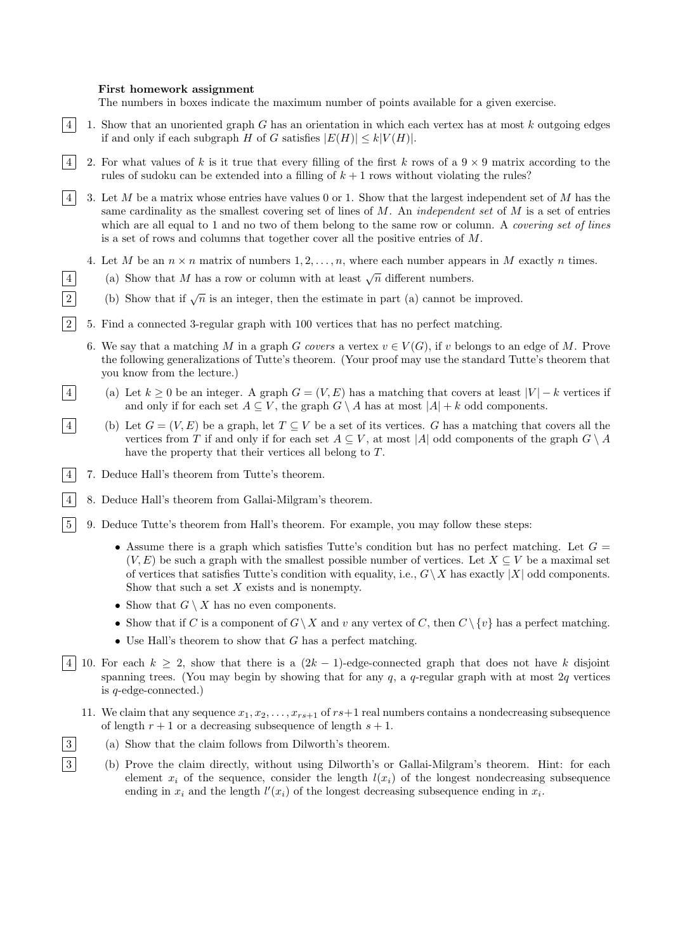## First homework assignment

The numbers in boxes indicate the maximum number of points available for a given exercise.

- $\lfloor 4 \rfloor$  1. Show that an unoriented graph G has an orientation in which each vertex has at most k outgoing edges if and only if each subgraph H of G satisfies  $|E(H)| \le k|V(H)|$ .
- 4 2. For what values of k is it true that every filling of the first k rows of a  $9 \times 9$  matrix according to the rules of sudoku can be extended into a filling of  $k + 1$  rows without violating the rules?
- $|4|$  3. Let M be a matrix whose entries have values 0 or 1. Show that the largest independent set of M has the same cardinality as the smallest covering set of lines of  $M$ . An *independent set* of  $M$  is a set of entries which are all equal to 1 and no two of them belong to the same row or column. A *covering set of lines* is a set of rows and columns that together cover all the positive entries of M.
	- 4. Let M be an  $n \times n$  matrix of numbers  $1, 2, \ldots, n$ , where each number appears in M exactly n times.
- 4 (a) Show that M has a row or column with at least  $\sqrt{n}$  different numbers.
- (b) Show that if  $\sqrt{n}$  is an integer, then the estimate in part (a) cannot be improved.
- 2 5. Find a connected 3-regular graph with 100 vertices that has no perfect matching.
	- 6. We say that a matching M in a graph G covers a vertex  $v \in V(G)$ , if v belongs to an edge of M. Prove the following generalizations of Tutte's theorem. (Your proof may use the standard Tutte's theorem that you know from the lecture.)
- (a) Let  $k > 0$  be an integer. A graph  $G = (V, E)$  has a matching that covers at least  $|V| k$  vertices if and only if for each set  $A \subseteq V$ , the graph  $G \setminus A$  has at most  $|A| + k$  odd components.
- 4 (b) Let  $G = (V, E)$  be a graph, let  $T \subseteq V$  be a set of its vertices. G has a matching that covers all the vertices from T if and only if for each set  $A \subseteq V$ , at most |A| odd components of the graph  $G \setminus A$ have the property that their vertices all belong to T.
- 4 7. Deduce Hall's theorem from Tutte's theorem.
- 4 8. Deduce Hall's theorem from Gallai-Milgram's theorem.
- 5 9. Deduce Tutte's theorem from Hall's theorem. For example, you may follow these steps:
	- Assume there is a graph which satisfies Tutte's condition but has no perfect matching. Let  $G =$  $(V, E)$  be such a graph with the smallest possible number of vertices. Let  $X \subseteq V$  be a maximal set of vertices that satisfies Tutte's condition with equality, i.e.,  $G\setminus X$  has exactly  $|X|$  odd components. Show that such a set  $X$  exists and is nonempty.
	- Show that  $G \setminus X$  has no even components.
	- Show that if C is a component of  $G\setminus X$  and v any vertex of C, then  $C\setminus\{v\}$  has a perfect matching.
	- Use Hall's theorem to show that  $G$  has a perfect matching.
- 4 10. For each  $k \geq 2$ , show that there is a  $(2k-1)$ -edge-connected graph that does not have k disjoint spanning trees. (You may begin by showing that for any  $q$ , a  $q$ -regular graph with at most  $2q$  vertices is q-edge-connected.)
	- 11. We claim that any sequence  $x_1, x_2, \ldots, x_{rs+1}$  of  $rs+1$  real numbers contains a nondecreasing subsequence of length  $r + 1$  or a decreasing subsequence of length  $s + 1$ .
- 3 (a) Show that the claim follows from Dilworth's theorem.
- 3 (b) Prove the claim directly, without using Dilworth's or Gallai-Milgram's theorem. Hint: for each element  $x_i$  of the sequence, consider the length  $l(x_i)$  of the longest nondecreasing subsequence ending in  $x_i$  and the length  $l'(x_i)$  of the longest decreasing subsequence ending in  $x_i$ .